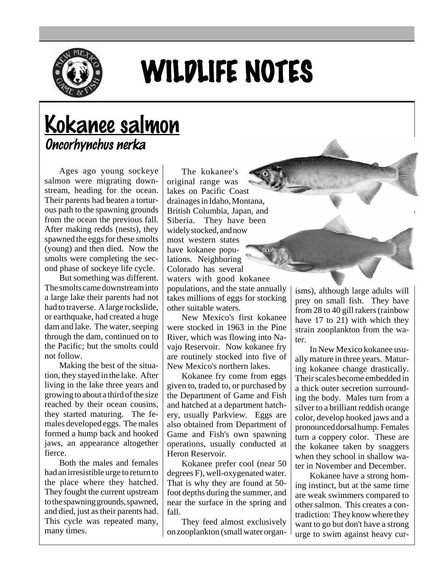

## WILDLIFE NOTES

## Kokanee salmon Oncorhynchus nerka

Ages ago young sockeye salmon were migrating downstream, heading for the ocean. Their parents had beaten a torturous path to the spawning grounds from the ocean the previous fall. After making redds (nests), they spawned the eggs for these smolts (young) and then died. Now the smolts were completing the second phase of sockeye life cycle.

But something was different. The smolts came downstream into a large lake their parents had not had to traverse. A large rockslide, or earthquake, had created a huge dam and lake. The water, seeping through the dam, continued on to the Pacific; but the smolts could not follow.

Making the best of the situation, they stayed in the lake. After living in the lake three years and growing to about a third of the size reached by their ocean cousins, they started maturing. The females developed eggs. The males formed a hump back and hooked jaws, an appearance altogether fierce.

Both the males and females had an irresistible urge to return to the place where they hatched. They fought the current upstream to the spawning grounds, spawned, and died, just as their parents had. This cycle was repeated many, many times.

The kokanee's original range was lakes on Pacific Coast drainages in Idaho, Montana, British Columbia, Japan, and Siberia. They have been widely stocked, and now most western states have kokanee populations. Neighboring Colorado has several waters with good kokanee

populations, and the state annually takes millions of eggs for stocking other suitable waters.

New Mexico's first kokanee were stocked in 1963 in the Pine River, which was flowing into Navajo Reservoir. Now kokanee fry are routinely stocked into five of New Mexico's northern lakes.

Kokanee fry come from eggs given to, traded to, or purchased by the Department of Game and Fish and hatched at a department hatchery, usually Parkview. Eggs are also obtained from Department of Game and Fish's own spawning operations, usually conducted at Heron Reservoir.

Kokanee prefer cool (near 50 degrees F), well-oxygenated water. That is why they are found at 50 foot depths during the summer, and near the surface in the spring and fall.

They feed almost exclusively on zooplankton (small water organisms), although large adults will prey on small fish. They have from 28 to 40 gill rakers (rainbow have 17 to 21) with which they strain zooplankton from the water.

In New Mexico kokanee usually mature in three years. Maturing kokanee change drastically. Their scales become embedded in a thick outer secretion surrounding the body. Males turn from a silver to a brilliant reddish orange color, develop hooked jaws and a pronounced dorsal hump. Females turn a coppery color. These are the kokanee taken by snaggers when they school in shallow water in November and December.

Kokanee have a strong homing instinct, but at the same time are weak swimmers compared to other salmon. This creates a contradiction: They know where they want to go but don't have a strong urge to swim against heavy cur